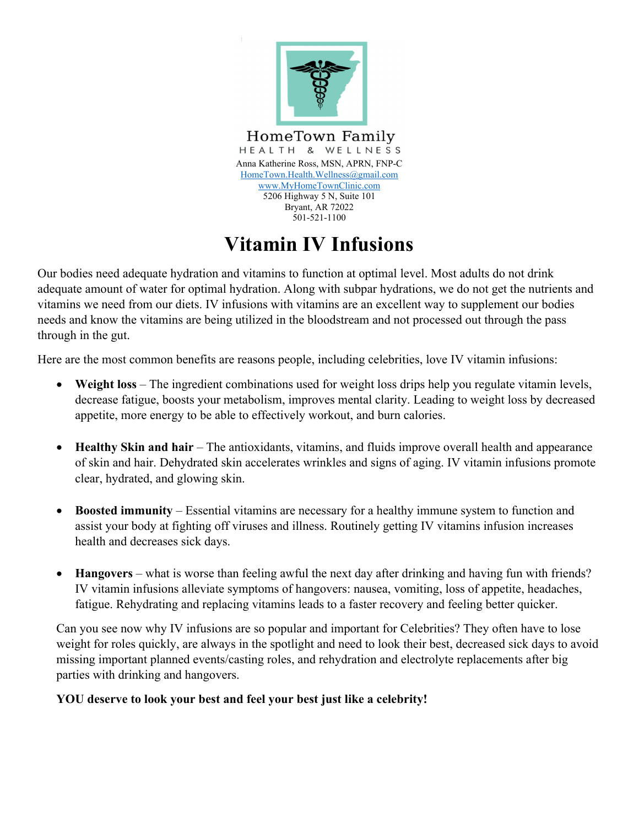

## **Vitamin IV Infusions**

Our bodies need adequate hydration and vitamins to function at optimal level. Most adults do not drink adequate amount of water for optimal hydration. Along with subpar hydrations, we do not get the nutrients and vitamins we need from our diets. IV infusions with vitamins are an excellent way to supplement our bodies needs and know the vitamins are being utilized in the bloodstream and not processed out through the pass through in the gut.

Here are the most common benefits are reasons people, including celebrities, love IV vitamin infusions:

- **Weight loss** The ingredient combinations used for weight loss drips help you regulate vitamin levels, decrease fatigue, boosts your metabolism, improves mental clarity. Leading to weight loss by decreased appetite, more energy to be able to effectively workout, and burn calories.
- Healthy Skin and hair The antioxidants, vitamins, and fluids improve overall health and appearance of skin and hair. Dehydrated skin accelerates wrinkles and signs of aging. IV vitamin infusions promote clear, hydrated, and glowing skin.
- **Boosted immunity** Essential vitamins are necessary for a healthy immune system to function and assist your body at fighting off viruses and illness. Routinely getting IV vitamins infusion increases health and decreases sick days.
- Hangovers what is worse than feeling awful the next day after drinking and having fun with friends? IV vitamin infusions alleviate symptoms of hangovers: nausea, vomiting, loss of appetite, headaches, fatigue. Rehydrating and replacing vitamins leads to a faster recovery and feeling better quicker.

Can you see now why IV infusions are so popular and important for Celebrities? They often have to lose weight for roles quickly, are always in the spotlight and need to look their best, decreased sick days to avoid missing important planned events/casting roles, and rehydration and electrolyte replacements after big parties with drinking and hangovers.

## **YOU deserve to look your best and feel your best just like a celebrity!**